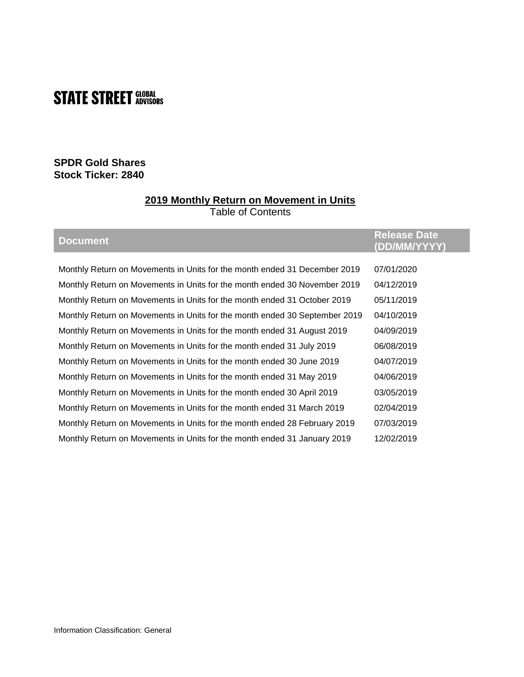# **STATE STREET SLOBAL**

## **SPDR Gold Shares Stock Ticker: 2840**

### **2019 Monthly Return on Movement in Units**

Table of Contents

| <b>Document</b>                                                            | <b>Release Date</b><br>(DD/MM/YYYY) |
|----------------------------------------------------------------------------|-------------------------------------|
|                                                                            |                                     |
| Monthly Return on Movements in Units for the month ended 31 December 2019  | 07/01/2020                          |
| Monthly Return on Movements in Units for the month ended 30 November 2019  | 04/12/2019                          |
| Monthly Return on Movements in Units for the month ended 31 October 2019   | 05/11/2019                          |
| Monthly Return on Movements in Units for the month ended 30 September 2019 | 04/10/2019                          |
| Monthly Return on Movements in Units for the month ended 31 August 2019    | 04/09/2019                          |
| Monthly Return on Movements in Units for the month ended 31 July 2019      | 06/08/2019                          |
| Monthly Return on Movements in Units for the month ended 30 June 2019      | 04/07/2019                          |
| Monthly Return on Movements in Units for the month ended 31 May 2019       | 04/06/2019                          |
| Monthly Return on Movements in Units for the month ended 30 April 2019     | 03/05/2019                          |
| Monthly Return on Movements in Units for the month ended 31 March 2019     | 02/04/2019                          |
| Monthly Return on Movements in Units for the month ended 28 February 2019  | 07/03/2019                          |
| Monthly Return on Movements in Units for the month ended 31 January 2019   | 12/02/2019                          |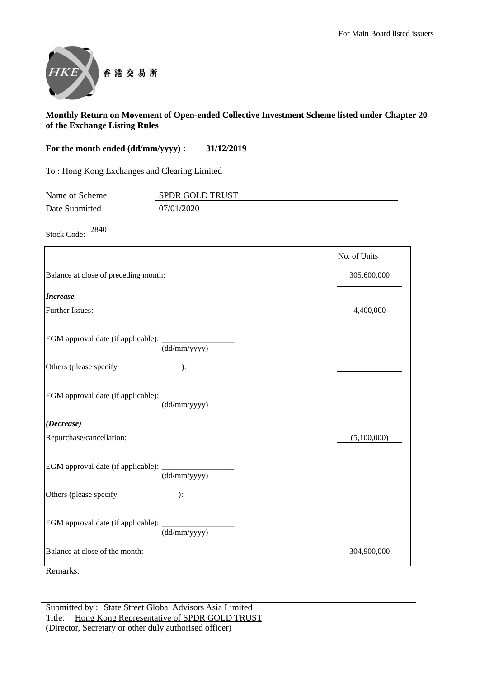

| For the month ended (dd/mm/yyyy) :           | 31/12/2019 |
|----------------------------------------------|------------|
| To: Hong Kong Exchanges and Clearing Limited |            |

| Name of Scheme | <b>SPDR GOLD TRUST</b> |  |
|----------------|------------------------|--|
| Date Submitted | 07/01/2020             |  |

Stock Code: <sup>2840</sup>

|                                                                          | No. of Units |
|--------------------------------------------------------------------------|--------------|
| Balance at close of preceding month:                                     | 305,600,000  |
| <b>Increase</b>                                                          |              |
| <b>Further Issues:</b>                                                   | 4,400,000    |
| EGM approval date (if applicable): _<br>$\overline{\text{(dd/mm/yyyy)}}$ |              |
| Others (please specify<br>):                                             |              |
| (dd/mm/yyyy)                                                             |              |
| (Decrease)                                                               |              |
| Repurchase/cancellation:                                                 | (5,100,000)  |
| (dd/mm/yyyy)                                                             |              |
| Others (please specify<br>):                                             |              |
| EGM approval date (if applicable):<br>(dd/mm/yyyy)                       |              |
| Balance at close of the month:                                           | 304,900,000  |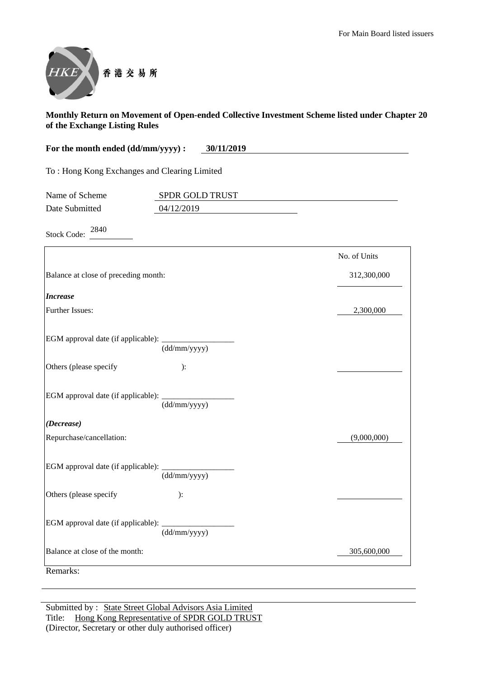

| For the month ended (dd/mm/yyyy) :           | 30/11/2019 |
|----------------------------------------------|------------|
| To: Hong Kong Exchanges and Clearing Limited |            |

| Name of Scheme | <b>SPDR GOLD TRUST</b> |  |
|----------------|------------------------|--|
| Date Submitted | 04/12/2019             |  |

Stock Code:  $2840$ 

|                                                    |                                  | No. of Units |
|----------------------------------------------------|----------------------------------|--------------|
| Balance at close of preceding month:               |                                  | 312,300,000  |
| <b>Increase</b>                                    |                                  |              |
| Further Issues:                                    |                                  | 2,300,000    |
| EGM approval date (if applicable): __________      | $\overline{\text{(dd/mm/yyyy)}}$ |              |
| Others (please specify                             | ):                               |              |
| EGM approval date (if applicable): _               | (dd/mm/yyyy)                     |              |
| (Decrease)                                         |                                  |              |
| Repurchase/cancellation:                           |                                  | (9,000,000)  |
| EGM approval date (if applicable): _______________ | (dd/mm/yyyy)                     |              |
| Others (please specify                             | ):                               |              |
| EGM approval date (if applicable): _______         | (dd/mm/yyyy)                     |              |
| Balance at close of the month:                     |                                  | 305,600,000  |
| Remarks:                                           |                                  |              |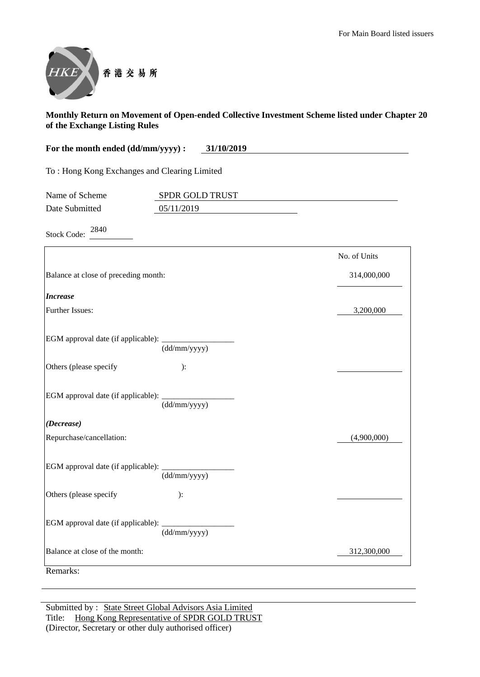

| For the month ended (dd/mm/yyyy) : |      |  |  |  |  | 31/10/2019 |  |  |  |  |  |  |  |
|------------------------------------|------|--|--|--|--|------------|--|--|--|--|--|--|--|
|                                    |      |  |  |  |  |            |  |  |  |  |  |  |  |
|                                    | $-1$ |  |  |  |  |            |  |  |  |  |  |  |  |

To : Hong Kong Exchanges and Clearing Limited

| Name of Scheme | <b>SPDR GOLD TRUST</b> |
|----------------|------------------------|
| Date Submitted | 05/11/2019             |

Stock Code: <sup>2840</sup>

|                                                                   | No. of Units |
|-------------------------------------------------------------------|--------------|
| Balance at close of preceding month:                              | 314,000,000  |
| <b>Increase</b>                                                   |              |
| Further Issues:                                                   | 3,200,000    |
| EGM approval date (if applicable): _______<br>(dd/mm/yyyy)        |              |
| Others (please specify<br>):                                      |              |
| EGM approval date (if applicable): ______________<br>(dd/mm/yyyy) |              |
| (Decrease)                                                        |              |
| Repurchase/cancellation:                                          | (4,900,000)  |
| (dd/mm/yyyy)                                                      |              |
| Others (please specify<br>):                                      |              |
| EGM approval date (if applicable): _______<br>(dd/mm/yyyy)        |              |
| Balance at close of the month:                                    | 312,300,000  |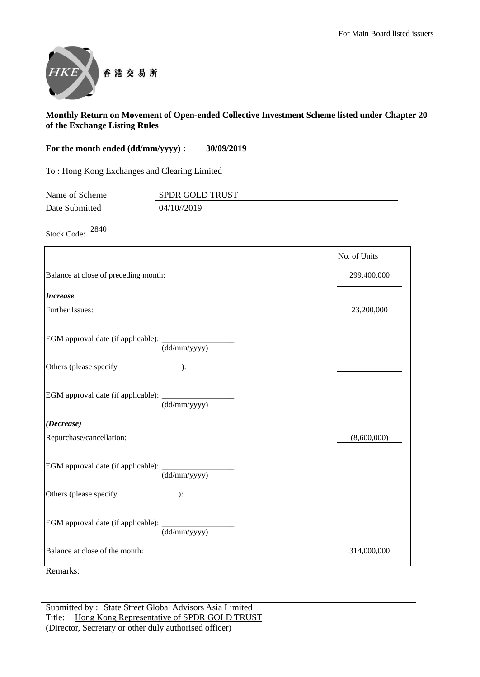

| For the month ended (dd/mm/yyyy) : | 30/09/2019 |
|------------------------------------|------------|
|                                    |            |

To : Hong Kong Exchanges and Clearing Limited

| Name of Scheme | <b>SPDR GOLD TRUST</b> |  |
|----------------|------------------------|--|
| Date Submitted | 04/10//2019            |  |

Stock Code: <sup>2840</sup>

|                                                         |              | No. of Units |
|---------------------------------------------------------|--------------|--------------|
| Balance at close of preceding month:                    |              | 299,400,000  |
| <b>Increase</b>                                         |              |              |
| <b>Further Issues:</b>                                  |              | 23,200,000   |
| EGM approval date (if applicable): $\frac{dM}{d\sigma}$ |              |              |
| Others (please specify                                  | ):           |              |
|                                                         | (dd/mm/yyyy) |              |
| (Decrease)                                              |              |              |
| Repurchase/cancellation:                                |              | (8,600,000)  |
|                                                         | (dd/mm/yyyy) |              |
| Others (please specify                                  | ):           |              |
| EGM approval date (if applicable):                      | (dd/mm/yyyy) |              |
| Balance at close of the month:                          |              | 314,000,000  |
| Remarks:                                                |              |              |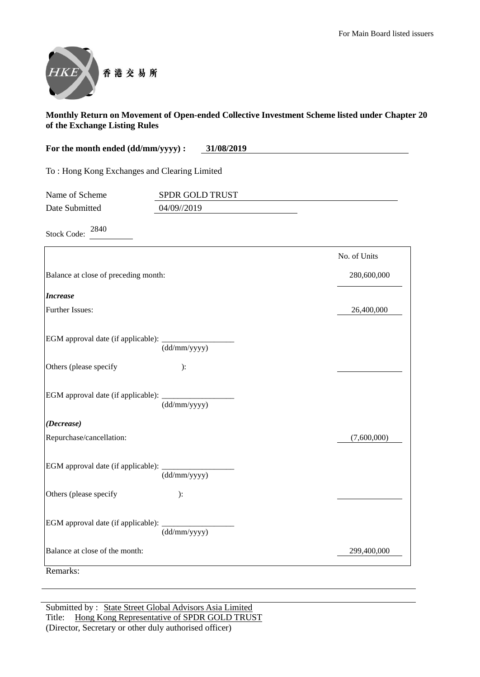

| For the month ended (dd/mm/yyyy) : | 31/08/2019 |
|------------------------------------|------------|
|                                    |            |

To : Hong Kong Exchanges and Clearing Limited

| Name of Scheme | <b>SPDR GOLD TRUST</b> |  |
|----------------|------------------------|--|
| Date Submitted | 04/09//2019            |  |

Stock Code: <sup>2840</sup>

|                                                                                  | No. of Units |
|----------------------------------------------------------------------------------|--------------|
| Balance at close of preceding month:                                             | 280,600,000  |
| <b>Increase</b>                                                                  |              |
| <b>Further Issues:</b>                                                           | 26,400,000   |
| EGM approval date (if applicable): _________<br>$\overline{\text{(dd/mm/yyyy)}}$ |              |
| Others (please specify<br>):                                                     |              |
| (dd/mm/yyyy)                                                                     |              |
| (Decrease)                                                                       |              |
| Repurchase/cancellation:                                                         | (7,600,000)  |
| (dd/mm/yyyy)                                                                     |              |
| Others (please specify<br>):                                                     |              |
| EGM approval date (if applicable):<br>(dd/mm/yyyy)                               |              |
| Balance at close of the month:                                                   | 299,400,000  |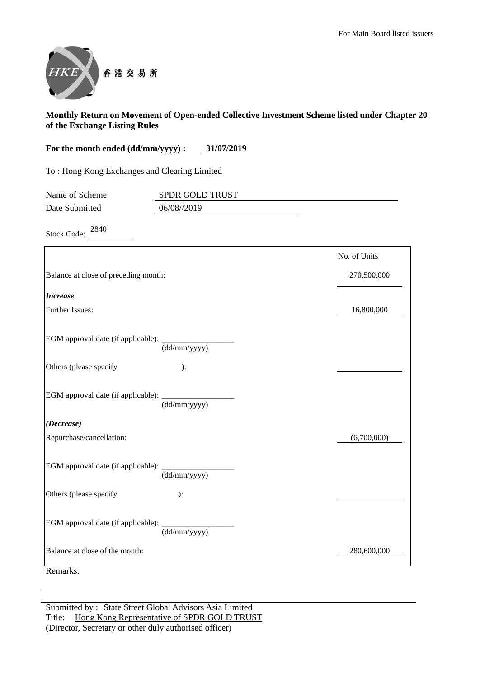

| For the month ended (dd/mm/yyyy) : | 31/07/2019 |
|------------------------------------|------------|
|                                    |            |

To : Hong Kong Exchanges and Clearing Limited

| Name of Scheme | <b>SPDR GOLD TRUST</b> |  |
|----------------|------------------------|--|
| Date Submitted | 06/08/2019             |  |

Stock Code: <sup>2840</sup>

|                                                             | No. of Units |
|-------------------------------------------------------------|--------------|
| Balance at close of preceding month:                        | 270,500,000  |
| <b>Increase</b>                                             |              |
| <b>Further Issues:</b>                                      | 16,800,000   |
| EGM approval date (if applicable): $\frac{1}{(dd/mm/yyyy)}$ |              |
| Others (please specify<br>):                                |              |
| (dd/mm/yyyy)                                                |              |
| (Decrease)                                                  |              |
| Repurchase/cancellation:                                    | (6,700,000)  |
| $\overline{\text{(dd/mm/yyy)}}$                             |              |
| Others (please specify<br>):                                |              |
| EGM approval date (if applicable): _______<br>(dd/mm/yyyy)  |              |
| Balance at close of the month:                              | 280,600,000  |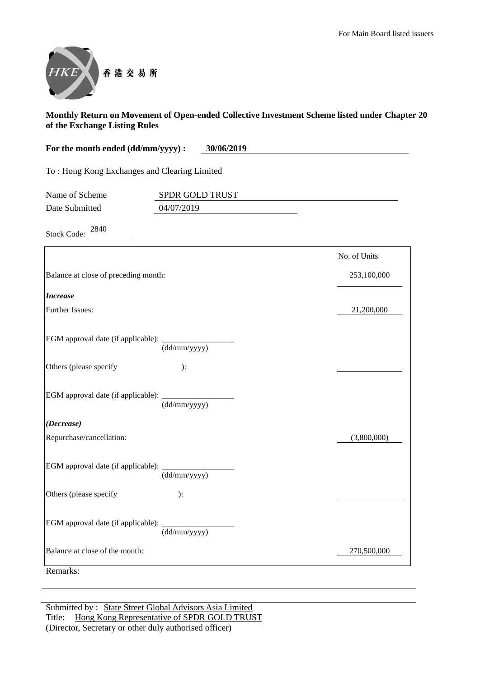

| For the month ended (dd/mm/yyyy) : | 30/06/2019 |
|------------------------------------|------------|
|                                    |            |

To : Hong Kong Exchanges and Clearing Limited

| Name of Scheme | <b>SPDR GOLD TRUST</b> |  |
|----------------|------------------------|--|
| Date Submitted | 04/07/2019             |  |

Stock Code: <sup>2840</sup>

| Balance at close of preceding month:<br><b>Increase</b><br><b>Further Issues:</b><br>EGM approval date (if applicable): ____________<br>$\frac{1}{(dd/mm/yyyy)}$ | 253,100,000<br>21,200,000 |
|------------------------------------------------------------------------------------------------------------------------------------------------------------------|---------------------------|
|                                                                                                                                                                  |                           |
|                                                                                                                                                                  |                           |
|                                                                                                                                                                  |                           |
|                                                                                                                                                                  |                           |
| Others (please specify<br>):                                                                                                                                     |                           |
| EGM approval date (if applicable): ____________<br>$\overline{\text{(dd/mm/yyyy)}}$                                                                              |                           |
| (Decrease)                                                                                                                                                       |                           |
| Repurchase/cancellation:                                                                                                                                         | (3,800,000)               |
| (dd/mm/yyyy)                                                                                                                                                     |                           |
| Others (please specify<br>):                                                                                                                                     |                           |
| EGM approval date (if applicable): _______<br>(dd/mm/yyyy)                                                                                                       |                           |
| Balance at close of the month:                                                                                                                                   | 270,500,000               |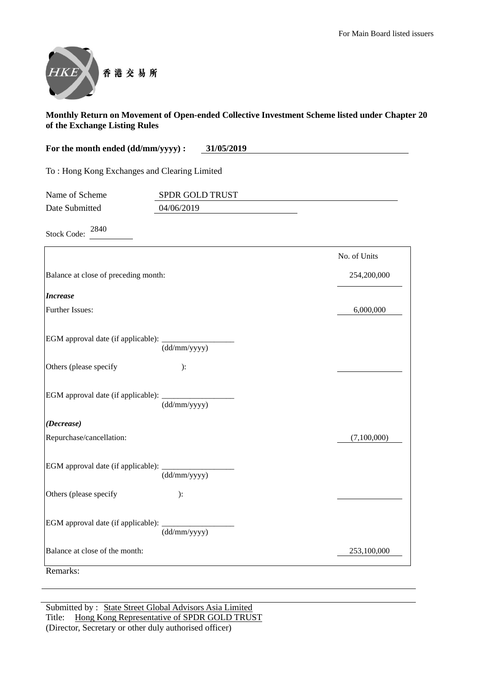

| For the month ended (dd/mm/yyyy) : | 31/05/2019 |
|------------------------------------|------------|
|                                    |            |

To : Hong Kong Exchanges and Clearing Limited

| Name of Scheme | <b>SPDR GOLD TRUST</b> |  |
|----------------|------------------------|--|
| Date Submitted | 04/06/2019             |  |

Stock Code: <sup>2840</sup>

|                                                             |              | No. of Units |
|-------------------------------------------------------------|--------------|--------------|
| Balance at close of preceding month:                        |              | 254,200,000  |
| <b>Increase</b>                                             |              |              |
| <b>Further Issues:</b>                                      |              | 6,000,000    |
| EGM approval date (if applicable): $\frac{1}{(dd/mm/yyyy)}$ |              |              |
| Others (please specify                                      | ):           |              |
|                                                             | (dd/mm/yyyy) |              |
| (Decrease)                                                  |              |              |
| Repurchase/cancellation:                                    |              | (7,100,000)  |
|                                                             | (dd/mm/yyyy) |              |
| Others (please specify                                      | ):           |              |
| EGM approval date (if applicable):                          | (dd/mm/yyyy) |              |
| Balance at close of the month:                              |              | 253,100,000  |
| Remarks:                                                    |              |              |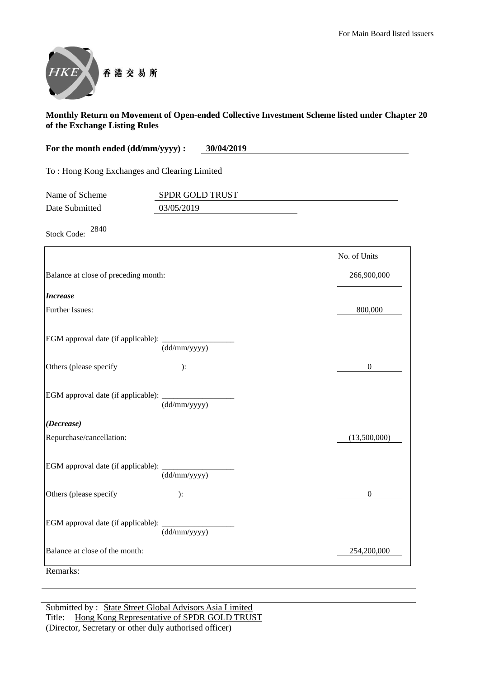

| For the month ended (dd/mm/yyyy) : | 30/04/2019 |
|------------------------------------|------------|
|                                    |            |

To : Hong Kong Exchanges and Clearing Limited

| Name of Scheme | <b>SPDR GOLD TRUST</b> |  |
|----------------|------------------------|--|
| Date Submitted | 03/05/2019             |  |

Stock Code: <sup>2840</sup>

|                                             |                                  | No. of Units     |
|---------------------------------------------|----------------------------------|------------------|
| Balance at close of preceding month:        |                                  | 266,900,000      |
| <b>Increase</b>                             |                                  |                  |
| Further Issues:                             |                                  | 800,000          |
| EGM approval date (if applicable): _______  | $\overline{\text{(dd/mm/yyyy)}}$ |                  |
| Others (please specify                      | ):                               | $\boldsymbol{0}$ |
| EGM approval date (if applicable): _        | (dd/mm/yyyy)                     |                  |
| (Decrease)                                  |                                  |                  |
| Repurchase/cancellation:                    |                                  | (13,500,000)     |
|                                             | (dd/mm/yyyy)                     |                  |
| Others (please specify                      | ):                               | $\boldsymbol{0}$ |
| EGM approval date (if applicable): ________ | (dd/mm/yyyy)                     |                  |
| Balance at close of the month:              |                                  | 254,200,000      |
| Remarks:                                    |                                  |                  |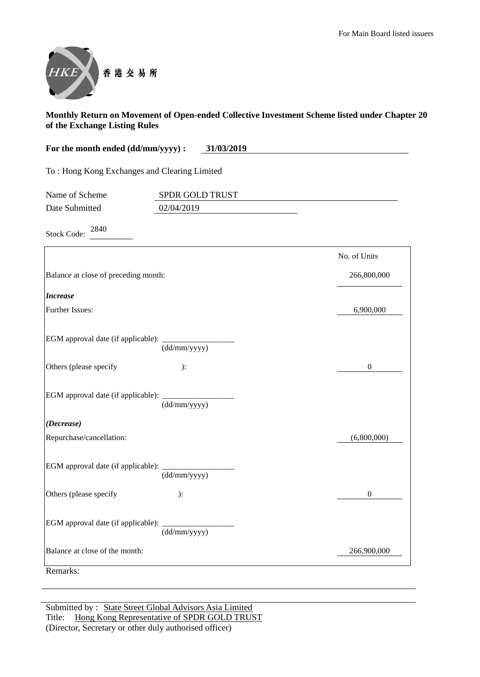

| For the month ended (dd/mm/yyyy) :<br>31/03/2019 |  |
|--------------------------------------------------|--|
|--------------------------------------------------|--|

To : Hong Kong Exchanges and Clearing Limited

| Name of Scheme | <b>SPDR GOLD TRUST</b> |  |
|----------------|------------------------|--|
| Date Submitted | 02/04/2019             |  |

Stock Code: <sup>2840</sup>

|                                                                         | No. of Units |
|-------------------------------------------------------------------------|--------------|
| Balance at close of preceding month:                                    | 266,800,000  |
| <b>Increase</b>                                                         |              |
| <b>Further Issues:</b>                                                  | 6,900,000    |
| EGM approval date (if applicable): $\frac{dM}{d\sigma}$                 |              |
| Others (please specify<br>):                                            | $\mathbf{0}$ |
| EGM approval date (if applicable): _<br>$\frac{1}{\text{(dd/mm/yyyy)}}$ |              |
| (Decrease)                                                              |              |
| Repurchase/cancellation:                                                | (6,800,000)  |
| (dd/mm/yyyy)                                                            |              |
| Others (please specify<br>):                                            | $\mathbf{0}$ |
| EGM approval date (if applicable):<br>(dd/mm/yyyy)                      |              |
| Balance at close of the month:                                          | 266,900,000  |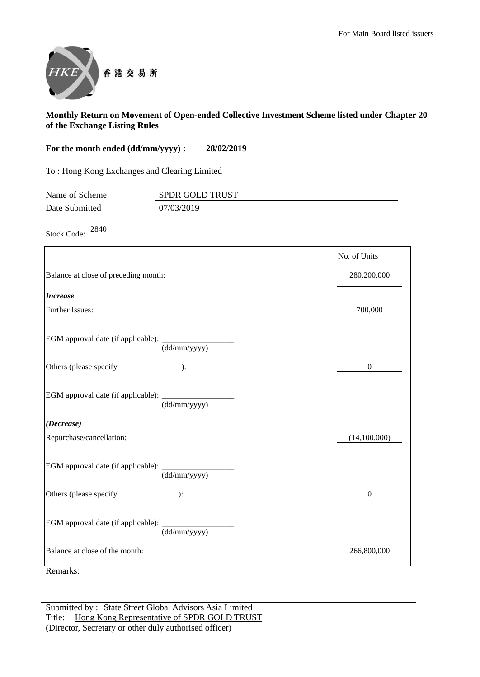

| 28/02/2019<br>For the month ended (dd/mm/yyyy) : |  |
|--------------------------------------------------|--|
|--------------------------------------------------|--|

To : Hong Kong Exchanges and Clearing Limited

| Name of Scheme | <b>SPDR GOLD TRUST</b> |  |
|----------------|------------------------|--|
| Date Submitted | 07/03/2019             |  |

Stock Code: <sup>2840</sup>

|                                                             | No. of Units   |
|-------------------------------------------------------------|----------------|
| Balance at close of preceding month:                        | 280,200,000    |
| <b>Increase</b>                                             |                |
| Further Issues:                                             | 700,000        |
| EGM approval date (if applicable): _______<br>(dd/mm/yyyy)  |                |
| Others (please specify<br>):                                | $\overline{0}$ |
| EGM approval date (if applicable): $\frac{1}{(dd/mm/yyyy)}$ |                |
| (Decrease)                                                  |                |
| Repurchase/cancellation:                                    | (14,100,000)   |
| (dd/mm/yyyy)                                                |                |
| Others (please specify<br>):                                | $\Omega$       |
| EGM approval date (if applicable): _<br>(dd/mm/yyyy)        |                |
| Balance at close of the month:                              | 266,800,000    |